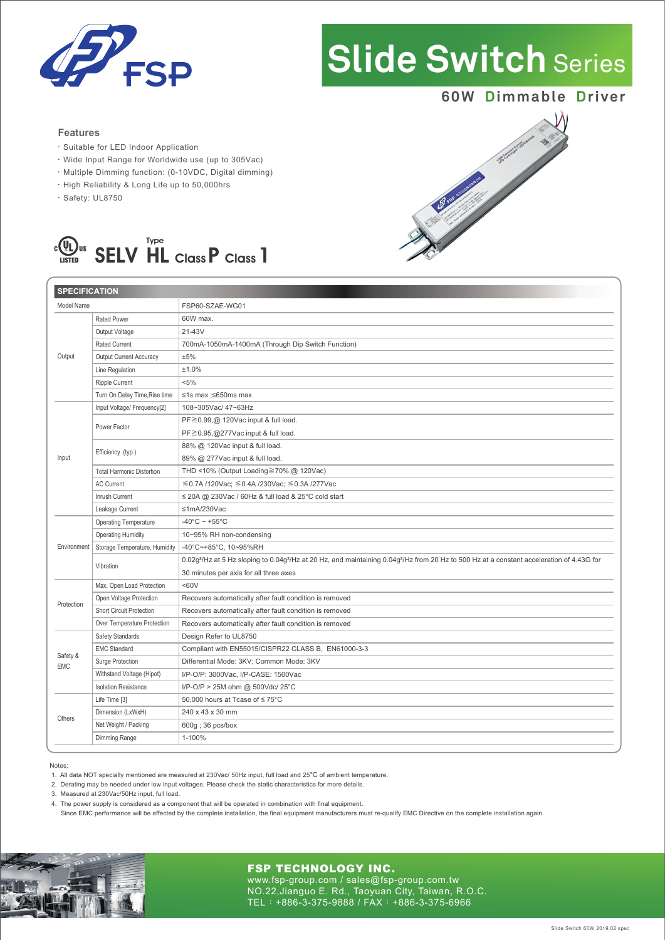

# **Slide Switch** Series

# **60W Dimmable Driver**

# **Features**

- ‧Suitable for LED Indoor Application
- ‧Wide Input Range for Worldwide use (up to 305Vac)
- ‧Multiple Dimming function: (0-10VDC, Digital dimming)
- ‧High Reliability & Long Life up to 50,000hrs
- ‧Safety: UL8750



| <b>SPECIFICATION</b>   |                                  |                                                                                                                                                                                |
|------------------------|----------------------------------|--------------------------------------------------------------------------------------------------------------------------------------------------------------------------------|
| Model Name             |                                  | FSP60-SZAE-WG01                                                                                                                                                                |
| Output                 | <b>Rated Power</b>               | 60W max.                                                                                                                                                                       |
|                        | Output Voltage                   | 21-43V                                                                                                                                                                         |
|                        | <b>Rated Current</b>             | 700mA-1050mA-1400mA (Through Dip Switch Function)                                                                                                                              |
|                        | <b>Output Current Accuracy</b>   | ±5%                                                                                                                                                                            |
|                        | Line Regulation                  | ±1.0%                                                                                                                                                                          |
|                        | Ripple Current                   | $< 5\%$                                                                                                                                                                        |
|                        | Turn On Delay Time, Rise time    | ≤1s max ;≤650ms max                                                                                                                                                            |
| Input                  | Input Voltage/ Frequency[2]      | 108~305Vac/ 47~63Hz                                                                                                                                                            |
|                        | Power Factor                     | $PF \ge 0.99$ , $@$ 120Vac input & full load.                                                                                                                                  |
|                        |                                  | $PF \ge 0.95$ , @277Vac input & full load.                                                                                                                                     |
|                        | Efficiency (typ.)                | 88% @ 120Vac input & full load.                                                                                                                                                |
|                        |                                  | 89% @ 277Vac input & full load.                                                                                                                                                |
|                        | <b>Total Harmonic Distortion</b> | THD <10% (Output Loading≧70% @ 120Vac)                                                                                                                                         |
|                        | <b>AC Current</b>                | ≦0.7A /120Vac; ≤0.4A /230Vac; ≤0.3A /277Vac                                                                                                                                    |
|                        | Inrush Current                   | $\leq$ 20A @ 230Vac / 60Hz & full load & 25°C cold start                                                                                                                       |
|                        | Leakage Current                  | ≤1mA/230Vac                                                                                                                                                                    |
| Environment            | <b>Operating Temperature</b>     | $-40^{\circ}$ C ~ +55 $^{\circ}$ C                                                                                                                                             |
|                        | <b>Operating Humidity</b>        | 10~95% RH non-condensing                                                                                                                                                       |
|                        | Storage Temperature, Humidity    | -40°C~+85°C, 10~95%RH                                                                                                                                                          |
|                        | Vibration                        | 0.02g <sup>2</sup> /Hz at 5 Hz sloping to 0.04g <sup>2</sup> /Hz at 20 Hz, and maintaining 0.04g <sup>2</sup> /Hz from 20 Hz to 500 Hz at a constant acceleration of 4.43G for |
|                        |                                  | 30 minutes per axis for all three axes                                                                                                                                         |
| Protection             | Max. Open Load Protection        | &50V                                                                                                                                                                           |
|                        | Open Voltage Protection          | Recovers automatically after fault condition is removed                                                                                                                        |
|                        | <b>Short Circuit Protection</b>  | Recovers automatically after fault condition is removed                                                                                                                        |
|                        | Over Temperature Protection      | Recovers automatically after fault condition is removed                                                                                                                        |
| Safety &<br><b>EMC</b> | Safety Standards                 | Design Refer to UL8750                                                                                                                                                         |
|                        | <b>EMC Standard</b>              | Compliant with EN55015/CISPR22 CLASS B, EN61000-3-3                                                                                                                            |
|                        | Surge Protection                 | Differential Mode: 3KV; Common Mode: 3KV                                                                                                                                       |
|                        | Withstand Voltage (Hipot)        | I/P-O/P: 3000Vac, I/P-CASE: 1500Vac                                                                                                                                            |
|                        | <b>Isolation Resistance</b>      | I/P-O/P > 25M ohm @ 500Vdc/ 25°C                                                                                                                                               |
| Others                 | Life Time [3]                    | 50,000 hours at Tcase of ≤ 75°C                                                                                                                                                |
|                        | Dimension (LxWxH)                | 240 x 43 x 30 mm                                                                                                                                                               |
|                        | Net Weight / Packing             | 600g; 36 pcs/box                                                                                                                                                               |
|                        | Dimming Range                    | 1-100%                                                                                                                                                                         |

#### Notes:

1. All data NOT specially mentioned are measured at 230Vac/ 50Hz input, full load and 25°C of ambient temperature.

2. Derating may be needed under low input voltages. Please check the static characteristics for more details.

3. Measured at 230Vac/50Hz input, full load.

4. The power supply is considered as a component that will be operated in combination with final equipment.

Since EMC performance will be affected by the complete installation, the final equipment manufacturers must re-qualify EMC Directive on the complete installation again.



## FSP TECHNOLOGY INC.

www.fsp-group.com / sales@fsp-group.com.tw NO.22,Jianguo E. Rd., Taoyuan City, Taiwan, R.O.C. TEL:+886-3-375-9888 / FAX:+886-3-375-6966